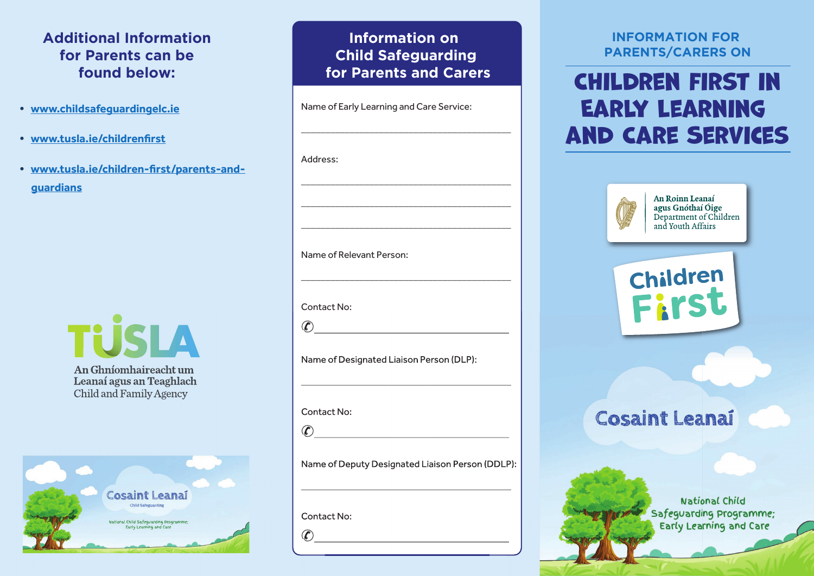## **Additional Information for Parents can be found below:**

- **www.childsafeguardingelc.ie**
- **www.tusla.ie/childrenfirst**
- **www.tusla.ie/children-first/parents-andguardians**



An Ghníomhaireacht um Leanaí agus an Teaghlach **Child and Family Agency** 



### **Information on Child Safeguarding for Parents and Carers**

\_\_\_\_\_\_\_\_\_\_\_\_\_\_\_\_\_\_\_\_\_\_\_\_\_\_\_\_\_\_\_\_\_\_\_\_\_\_\_\_\_\_\_

Name of Early Learning and Care Service:

# Address: \_\_\_\_\_\_\_\_\_\_\_\_\_\_\_\_\_\_\_\_\_\_\_\_\_\_\_\_\_\_\_\_\_\_\_\_\_\_\_\_\_\_\_ \_\_\_\_\_\_\_\_\_\_\_\_\_\_\_\_\_\_\_\_\_\_\_\_\_\_\_\_\_\_\_\_\_\_\_\_\_\_\_\_\_\_\_ \_\_\_\_\_\_\_\_\_\_\_\_\_\_\_\_\_\_\_\_\_\_\_\_\_\_\_\_\_\_\_\_\_\_\_\_\_\_\_\_\_\_\_ Name of Relevant Person: \_\_\_\_\_\_\_\_\_\_\_\_\_\_\_\_\_\_\_\_\_\_\_\_\_\_\_\_\_\_\_\_\_\_\_\_\_\_\_\_\_\_\_ Contact No: ✆\_\_\_\_\_\_\_\_\_\_\_\_\_\_\_\_\_\_\_\_\_\_\_\_\_\_\_\_\_\_\_\_\_\_\_\_\_\_\_\_ Name of Designated Liaison Person (DLP): \_\_\_\_\_\_\_\_\_\_\_\_\_\_\_\_\_\_\_\_\_\_\_\_\_\_\_\_\_\_\_\_\_\_\_\_\_\_\_\_\_\_\_ Contact No:

 $\mathcal{C}$ 

Name of Deputy Designated Liaison Person (DDLP):

\_\_\_\_\_\_\_\_\_\_\_\_\_\_\_\_\_\_\_\_\_\_\_\_\_\_\_\_\_\_\_\_\_\_\_\_\_\_\_\_\_\_\_

Contact No:

 $\circ$   $\overline{\circ}$   $\overline{\circ}$   $\overline{\circ}$   $\overline{\circ}$   $\overline{\circ}$   $\overline{\circ}$   $\overline{\circ}$   $\overline{\circ}$   $\overline{\circ}$   $\overline{\circ}$   $\overline{\circ}$   $\overline{\circ}$   $\overline{\circ}$   $\overline{\circ}$   $\overline{\circ}$   $\overline{\circ}$   $\overline{\circ}$   $\overline{\circ}$   $\overline{\circ}$   $\overline{\circ}$   $\overline{\circ}$   $\overline{\circ}$   $\overline{\circ}$   $\overline{\circ}$ 

#### **INFORMATION FOR PARENTS/CARERS ON**

# Children first in Early Learning and Care Services



An Roinn Leanaí agus Gnóthaí Óige Department of Children and Youth Affairs



## **Cosaint Leanai**

National Child Safeguarding programme; Early Learning and Care